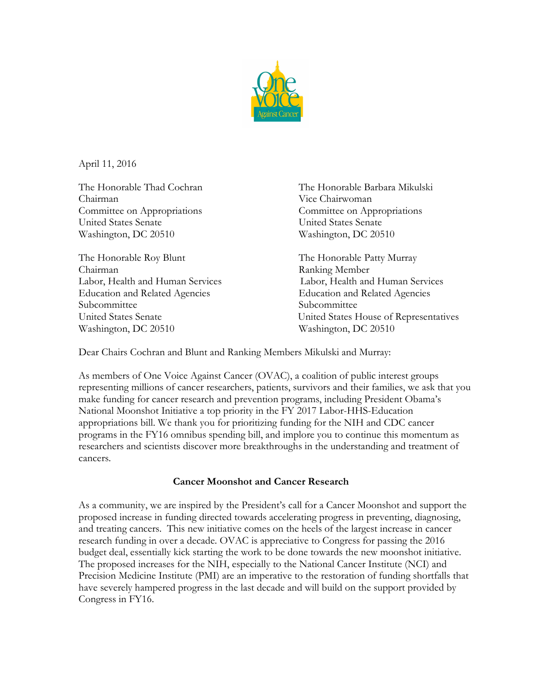

April 11, 2016

Chairman Vice Chairwoman Committee on Appropriations Committee on Appropriations United States Senate United States Senate Washington, DC 20510 Washington, DC 20510

The Honorable Roy Blunt The Honorable Patty Murray Chairman Ranking Member Education and Related Agencies Education and Related Agencies Subcommittee Subcommittee Subcommittee Subcommittee Subcommittee Subcommittee Subcommittee Subcommittee Subcommittee Subcommittee Subcommittee Subcommittee Subcommittee Subcommittee Subcommittee Subcommittee Subcommittee S Washington, DC 20510 Washington, DC 20510

The Honorable Thad Cochran The Honorable Barbara Mikulski

Labor, Health and Human Services Labor, Health and Human Services United States Senate United States House of Representatives

Dear Chairs Cochran and Blunt and Ranking Members Mikulski and Murray:

As members of One Voice Against Cancer (OVAC), a coalition of public interest groups representing millions of cancer researchers, patients, survivors and their families, we ask that you make funding for cancer research and prevention programs, including President Obama's National Moonshot Initiative a top priority in the FY 2017 Labor-HHS-Education appropriations bill. We thank you for prioritizing funding for the NIH and CDC cancer programs in the FY16 omnibus spending bill, and implore you to continue this momentum as researchers and scientists discover more breakthroughs in the understanding and treatment of cancers.

## **Cancer Moonshot and Cancer Research**

As a community, we are inspired by the President's call for a Cancer Moonshot and support the proposed increase in funding directed towards accelerating progress in preventing, diagnosing, and treating cancers. This new initiative comes on the heels of the largest increase in cancer research funding in over a decade. OVAC is appreciative to Congress for passing the 2016 budget deal, essentially kick starting the work to be done towards the new moonshot initiative. The proposed increases for the NIH, especially to the National Cancer Institute (NCI) and Precision Medicine Institute (PMI) are an imperative to the restoration of funding shortfalls that have severely hampered progress in the last decade and will build on the support provided by Congress in FY16.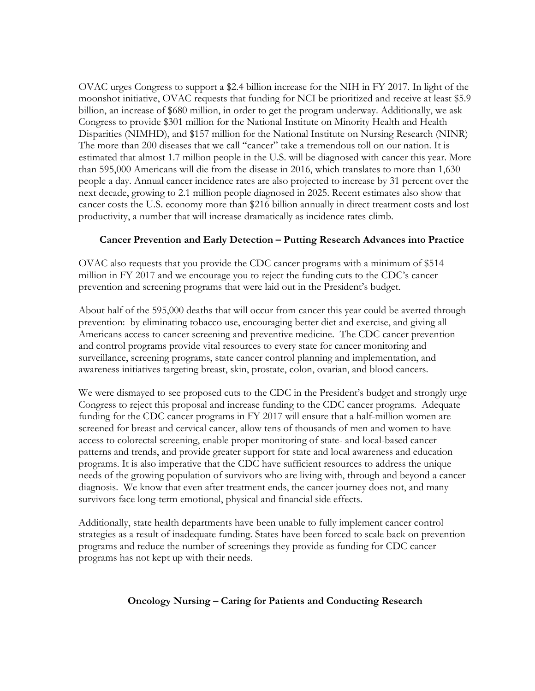OVAC urges Congress to support a \$2.4 billion increase for the NIH in FY 2017. In light of the moonshot initiative, OVAC requests that funding for NCI be prioritized and receive at least \$5.9 billion, an increase of \$680 million, in order to get the program underway. Additionally, we ask Congress to provide \$301 million for the National Institute on Minority Health and Health Disparities (NIMHD), and \$157 million for the National Institute on Nursing Research (NINR) The more than 200 diseases that we call "cancer" take a tremendous toll on our nation. It is estimated that almost 1.7 million people in the U.S. will be diagnosed with cancer this year. More than 595,000 Americans will die from the disease in 2016, which translates to more than 1,630 people a day. Annual cancer incidence rates are also projected to increase by 31 percent over the next decade, growing to 2.1 million people diagnosed in 2025. Recent estimates also show that cancer costs the U.S. economy more than \$216 billion annually in direct treatment costs and lost productivity, a number that will increase dramatically as incidence rates climb.

## **Cancer Prevention and Early Detection – Putting Research Advances into Practice**

OVAC also requests that you provide the CDC cancer programs with a minimum of \$514 million in FY 2017 and we encourage you to reject the funding cuts to the CDC's cancer prevention and screening programs that were laid out in the President's budget.

About half of the 595,000 deaths that will occur from cancer this year could be averted through prevention: by eliminating tobacco use, encouraging better diet and exercise, and giving all Americans access to cancer screening and preventive medicine. The CDC cancer prevention and control programs provide vital resources to every state for cancer monitoring and surveillance, screening programs, state cancer control planning and implementation, and awareness initiatives targeting breast, skin, prostate, colon, ovarian, and blood cancers.

We were dismayed to see proposed cuts to the CDC in the President's budget and strongly urge Congress to reject this proposal and increase funding to the CDC cancer programs. Adequate funding for the CDC cancer programs in FY 2017 will ensure that a half-million women are screened for breast and cervical cancer, allow tens of thousands of men and women to have access to colorectal screening, enable proper monitoring of state- and local-based cancer patterns and trends, and provide greater support for state and local awareness and education programs. It is also imperative that the CDC have sufficient resources to address the unique needs of the growing population of survivors who are living with, through and beyond a cancer diagnosis. We know that even after treatment ends, the cancer journey does not, and many survivors face long-term emotional, physical and financial side effects.

Additionally, state health departments have been unable to fully implement cancer control strategies as a result of inadequate funding. States have been forced to scale back on prevention programs and reduce the number of screenings they provide as funding for CDC cancer programs has not kept up with their needs.

## **Oncology Nursing – Caring for Patients and Conducting Research**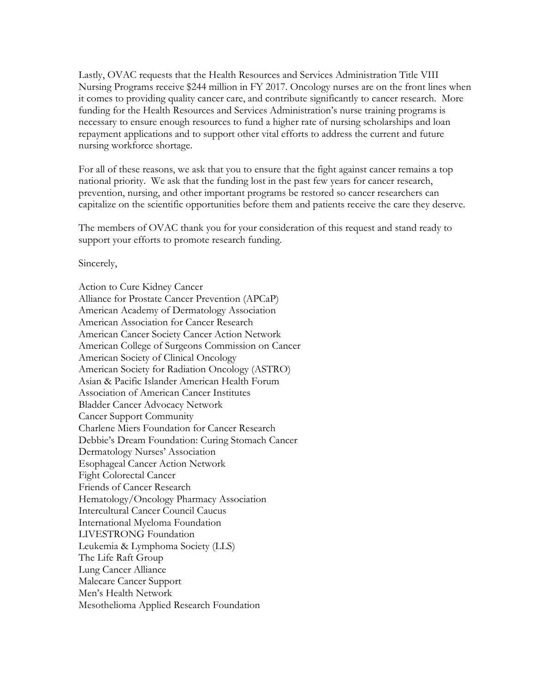Lastly, OVAC requests that the Health Resources and Services Administration Title VIII Nursing Programs receive \$244 million in FY 2017. Oncology nurses are on the front lines when it comes to providing quality cancer care, and contribute significantly to cancer research. More funding for the Health Resources and Services Administration's nurse training programs is necessary to ensure enough resources to fund a higher rate of nursing scholarships and loan repayment applications and to support other vital efforts to address the current and future nursing workforce shortage.

For all of these reasons, we ask that you to ensure that the fight against cancer remains a top national priority. We ask that the funding lost in the past few years for cancer research, prevention, nursing, and other important programs be restored so cancer researchers can capitalize on the scientific opportunities before them and patients receive the care they deserve.

The members of OVAC thank you for your consideration of this request and stand ready to support your efforts to promote research funding.

Sincerely,

Action to Cure Kidney Cancer Alliance for Prostate Cancer Prevention (APCaP) American Academy of Dermatology Association American Association for Cancer Research American Cancer Society Cancer Action Network American College of Surgeons Commission on Cancer American Society of Clinical Oncology American Society for Radiation Oncology (ASTRO) Asian & Pacific Islander American Health Forum Association of American Cancer Institutes Bladder Cancer Advocacy Network Cancer Support Community Charlene Miers Foundation for Cancer Research Debbie's Dream Foundation: Curing Stomach Cancer Dermatology Nurses' Association Esophageal Cancer Action Network Fight Colorectal Cancer Friends of Cancer Research Hematology/Oncology Pharmacy Association Intercultural Cancer Council Caucus International Myeloma Foundation LIVESTRONG Foundation Leukemia & Lymphoma Society (LLS) The Life Raft Group Lung Cancer Alliance Malecare Cancer Support Men's Health Network Mesothelioma Applied Research Foundation